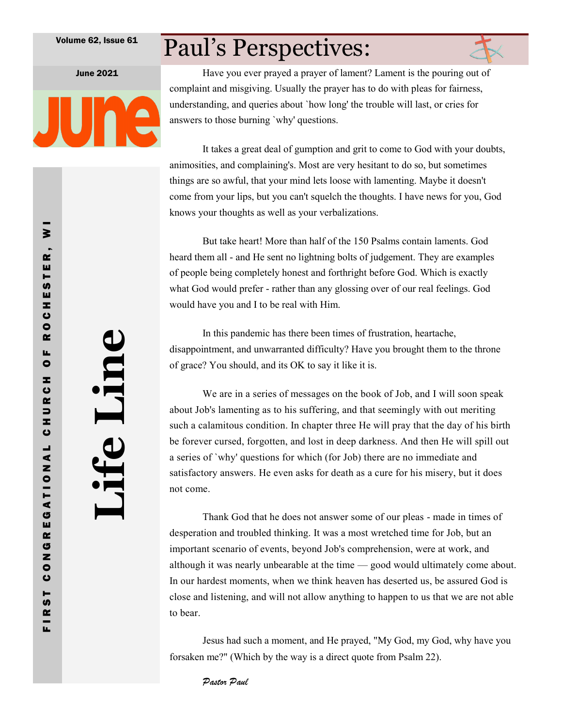## Paul's Perspectives:



June 2021 Have you ever prayed a prayer of lament? Lament is the pouring out of complaint and misgiving. Usually the prayer has to do with pleas for fairness, understanding, and queries about `how long' the trouble will last, or cries for answers to those burning `why' questions.

> It takes a great deal of gumption and grit to come to God with your doubts, animosities, and complaining's. Most are very hesitant to do so, but sometimes things are so awful, that your mind lets loose with lamenting. Maybe it doesn't come from your lips, but you can't squelch the thoughts. I have news for you, God knows your thoughts as well as your verbalizations.

But take heart! More than half of the 150 Psalms contain laments. God heard them all - and He sent no lightning bolts of judgement. They are examples of people being completely honest and forthright before God. Which is exactly what God would prefer - rather than any glossing over of our real feelings. God would have you and I to be real with Him.

In this pandemic has there been times of frustration, heartache, disappointment, and unwarranted difficulty? Have you brought them to the throne of grace? You should, and its OK to say it like it is.

We are in a series of messages on the book of Job, and I will soon speak about Job's lamenting as to his suffering, and that seemingly with out meriting such a calamitous condition. In chapter three He will pray that the day of his birth be forever cursed, forgotten, and lost in deep darkness. And then He will spill out a series of `why' questions for which (for Job) there are no immediate and satisfactory answers. He even asks for death as a cure for his misery, but it does not come.

Thank God that he does not answer some of our pleas - made in times of desperation and troubled thinking. It was a most wretched time for Job, but an important scenario of events, beyond Job's comprehension, were at work, and although it was nearly unbearable at the time — good would ultimately come about. In our hardest moments, when we think heaven has deserted us, be assured God is close and listening, and will not allow anything to happen to us that we are not able to bear.

Jesus had such a moment, and He prayed, "My God, my God, why have you forsaken me?" (Which by the way is a direct quote from Psalm 22).

Pastor Paul

**Life Line**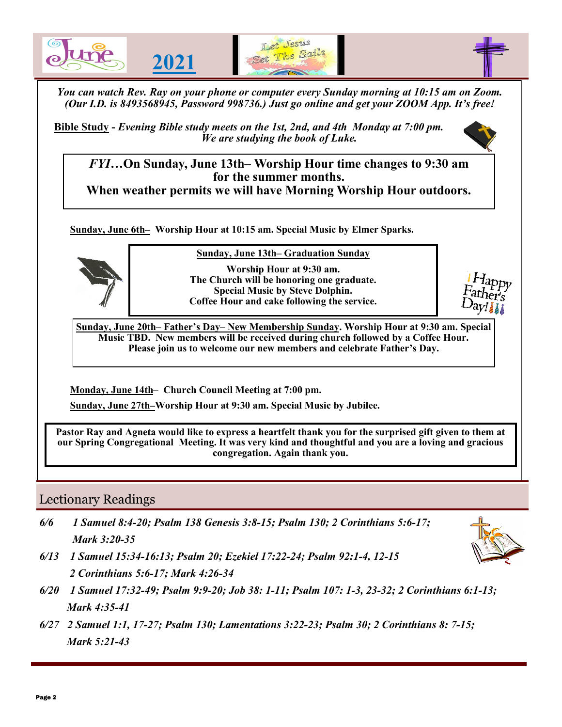

**Bible Study -** *Evening Bible study meets on the 1st, 2nd, and 4th Monday at 7:00 pm. We are studying the book of Luke.* 



*FYI…***On Sunday, June 13th– Worship Hour time changes to 9:30 am for the summer months. When weather permits we will have Morning Worship Hour outdoors.**

**Sunday, June 6th– Worship Hour at 10:15 am. Special Music by Elmer Sparks.**



**Sunday, June 13th– Graduation Sunday**

**Worship Hour at 9:30 am. The Church will be honoring one graduate. Special Music by Steve Dolphin. Coffee Hour and cake following the service.** 

**Sunday, June 20th– Father's Day– New Membership Sunday. Worship Hour at 9:30 am. Special Music TBD. New members will be received during church followed by a Coffee Hour. Please join us to welcome our new members and celebrate Father's Day.**

**Monday, June 14th– Church Council Meeting at 7:00 pm.** 

**Sunday, June 27th–Worship Hour at 9:30 am. Special Music by Jubilee.**

**Pastor Ray and Agneta would like to express a heartfelt thank you for the surprised gift given to them at our Spring Congregational Meeting. It was very kind and thoughtful and you are a loving and gracious congregation. Again thank you.**

### Lectionary Readings

*6/6 1 Samuel 8:4-20; Psalm 138 Genesis 3:8-15; Psalm 130; 2 Corinthians 5:6-17; Mark 3:20-35*



- *6/13 1 Samuel 15:34-16:13; Psalm 20; Ezekiel 17:22-24; Psalm 92:1-4, 12-15 2 Corinthians 5:6-17; Mark 4:26-34*
- *6/20 1 Samuel 17:32-49; Psalm 9:9-20; Job 38: 1-11; Psalm 107: 1-3, 23-32; 2 Corinthians 6:1-13; Mark 4:35-41*
- *6/27 2 Samuel 1:1, 17-27; Psalm 130; Lamentations 3:22-23; Psalm 30; 2 Corinthians 8: 7-15; Mark 5:21-43*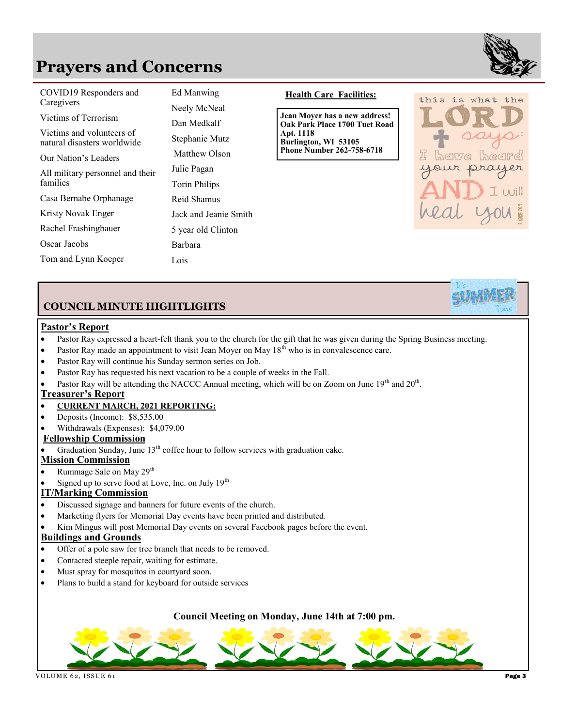## **Prayers and Concerns**



| COVID19 Responders and<br>Caregivers<br>Victims of Terrorism<br>Victims and volunteers of<br>natural disasters worldwide<br>Our Nation's Leaders<br>All military personnel and their | Ed Manwing<br>Neely McNeal<br>Dan Medkalf<br>Stephanie Mutz<br>Matthew Olson<br>Julie Pagan | <b>Health Care Facilities:</b><br>Jean Moyer has a new address!<br>Oak Park Place 1700 Tuet Road<br>Apt. 1118<br>Burlington, WI 53105<br><b>Phone Number 262-758-6718</b> |
|--------------------------------------------------------------------------------------------------------------------------------------------------------------------------------------|---------------------------------------------------------------------------------------------|---------------------------------------------------------------------------------------------------------------------------------------------------------------------------|
| families<br>Casa Bernabe Orphanage                                                                                                                                                   | Torin Philips<br>Reid Shamus                                                                |                                                                                                                                                                           |
| Kristy Novak Enger                                                                                                                                                                   | Jack and Jeanie Smith                                                                       |                                                                                                                                                                           |
| Rachel Frashingbauer                                                                                                                                                                 | 5 year old Clinton                                                                          |                                                                                                                                                                           |
| Oscar Jacobs                                                                                                                                                                         | Barbara                                                                                     |                                                                                                                                                                           |
| Tom and Lynn Koeper                                                                                                                                                                  | Lois                                                                                        |                                                                                                                                                                           |

#### **Health Care Facilities:**



#### **COUNCIL MINUTE HIGHTLIGHTS**

#### **Pastor's Report**

- Pastor Ray expressed a heart-felt thank you to the church for the gift that he was given during the Spring Business meeting.
- Pastor Ray made an appointment to visit Jean Moyer on May  $18<sup>th</sup>$  who is in convalescence care.
- Pastor Ray will continue his Sunday sermon series on Job.
- Pastor Ray has requested his next vacation to be a couple of weeks in the Fall.
- Pastor Ray will be attending the NACCC Annual meeting, which will be on Zoom on June  $19<sup>th</sup>$  and  $20<sup>th</sup>$ .

#### **Treasurer's Report**

#### • **CURRENT MARCH, 2021 REPORTING:**

- Deposits (Income): \$8,535.00
- Withdrawals (Expenses): \$4,079.00

#### **Fellowship Commission**

Graduation Sunday, June  $13<sup>th</sup>$  coffee hour to follow services with graduation cake.

#### **Mission Commission**

- Rummage Sale on May  $29<sup>th</sup>$
- Signed up to serve food at Love, Inc. on July 19<sup>th</sup>

#### **IT/Marking Commission**

- Discussed signage and banners for future events of the church.
- Marketing flyers for Memorial Day events have been printed and distributed.
- Kim Mingus will post Memorial Day events on several Facebook pages before the event.

#### **Buildings and Grounds**

- Offer of a pole saw for tree branch that needs to be removed.
- Contacted steeple repair, waiting for estimate.
- Must spray for mosquitos in courtyard soon.
- Plans to build a stand for keyboard for outside services

#### **Council Meeting on Monday, June 14th at 7:00 pm.**